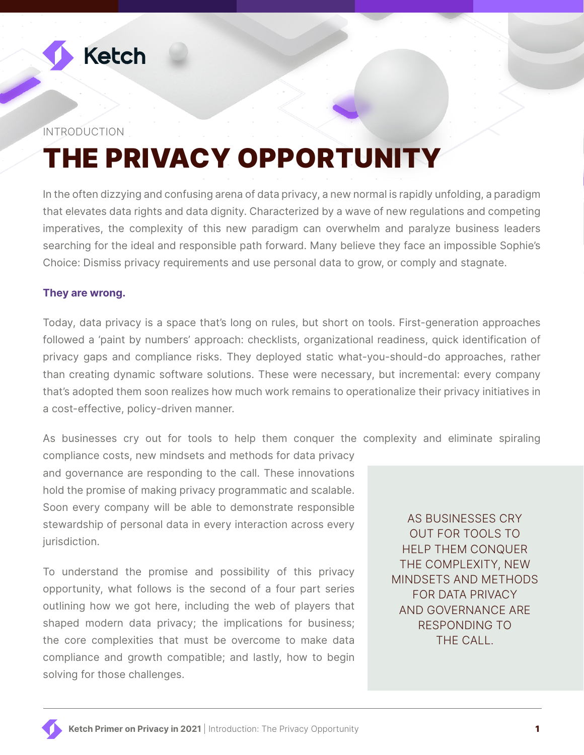

#### INTRODUCTION

# THE PRIVACY OPPORTUNITY

In the often dizzying and confusing arena of data privacy, a new normal is rapidly unfolding, a paradigm that elevates data rights and data dignity. Characterized by a wave of new regulations and competing imperatives, the complexity of this new paradigm can overwhelm and paralyze business leaders searching for the ideal and responsible path forward. Many believe they face an impossible Sophie's Choice: Dismiss privacy requirements and use personal data to grow, or comply and stagnate.

#### **They are wrong.**

Today, data privacy is a space that's long on rules, but short on tools. First-generation approaches followed a 'paint by numbers' approach: checklists, organizational readiness, quick identification of privacy gaps and compliance risks. They deployed static what-you-should-do approaches, rather than creating dynamic software solutions. These were necessary, but incremental: every company that's adopted them soon realizes how much work remains to operationalize their privacy initiatives in a cost-effective, policy-driven manner.

As businesses cry out for tools to help them conquer the complexity and eliminate spiraling

compliance costs, new mindsets and methods for data privacy and governance are responding to the call. These innovations hold the promise of making privacy programmatic and scalable. Soon every company will be able to demonstrate responsible stewardship of personal data in every interaction across every jurisdiction.

To understand the promise and possibility of this privacy opportunity, what follows is the second of a four part series outlining how we got here, including the web of players that shaped modern data privacy; the implications for business; the core complexities that must be overcome to make data compliance and growth compatible; and lastly, how to begin solving for those challenges.

AS BUSINESSES CRY OUT FOR TOOLS TO HELP THEM CONQUER THE COMPLEXITY, NEW MINDSETS AND METHODS FOR DATA PRIVACY AND GOVERNANCE ARE RESPONDING TO THE CALL.

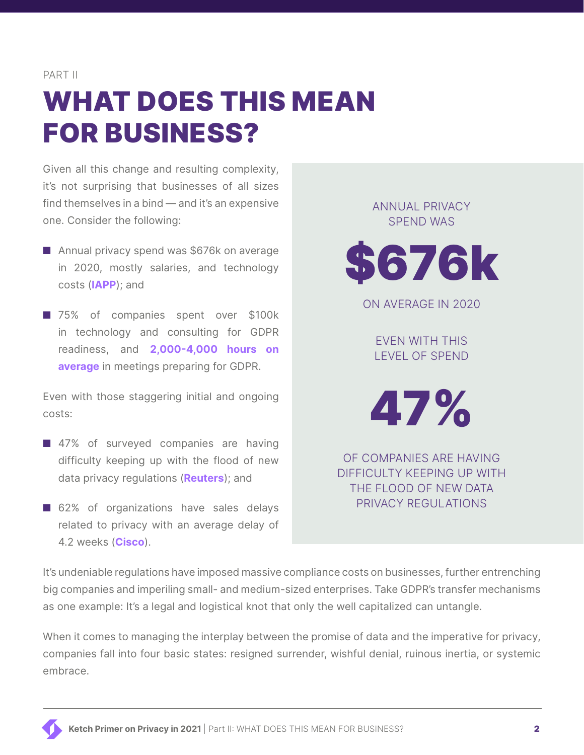PART II

# WHAT DOES THIS MEAN FOR BUSINESS?

Given all this change and resulting complexity, it's not surprising that businesses of all sizes find themselves in a bind — and it's an expensive one. Consider the following:

- Annual privacy spend was \$676k on average in 2020, mostly salaries, and technology costs (**[IAPP](https://iapp.org/resources/article/iapp-fti-consulting-privacy-governance-report-2020/)**); and
- 75% of companies spent over \$100k in technology and consulting for GDPR readiness, and **[2,000-4,000 hours on](https://www.datagrail.io/blog/benchmarking-the-cost-of-compliance/) [average](https://www.datagrail.io/blog/benchmarking-the-cost-of-compliance/)** in meetings preparing for GDPR.

Even with those staggering initial and ongoing costs:

- 47% of surveyed companies are having difficulty keeping up with the flood of new data privacy regulations (**[Reuters](http://www.legalexecutiveinstitute.com/wp-content/uploads/2018/01/Thomson-Reuters-Data-Privacy-Compliance-Survey.pdf)**); and
- 62% of organizations have sales delays related to privacy with an average delay of 4.2 weeks (**[Cisco](https://www.cisco.com/c/dam/global/en_uk/products/collateral/security/2020-data-privacy-cybersecurity-series-jan-2020.pdf)**).

ANNUAL PRIVACY SPEND WAS



ON AVERAGE IN 2020

EVEN WITH THIS LEVEL OF SPEND

47%

OF COMPANIES ARE HAVING DIFFICULTY KEEPING UP WITH THE FLOOD OF NEW DATA PRIVACY REGULATIONS

It's undeniable regulations have imposed massive compliance costs on businesses, further entrenching big companies and imperiling small- and medium-sized enterprises. Take GDPR's transfer mechanisms as one example: It's a legal and logistical knot that only the well capitalized can untangle.

When it comes to managing the interplay between the promise of data and the imperative for privacy, companies fall into four basic states: resigned surrender, wishful denial, ruinous inertia, or systemic embrace.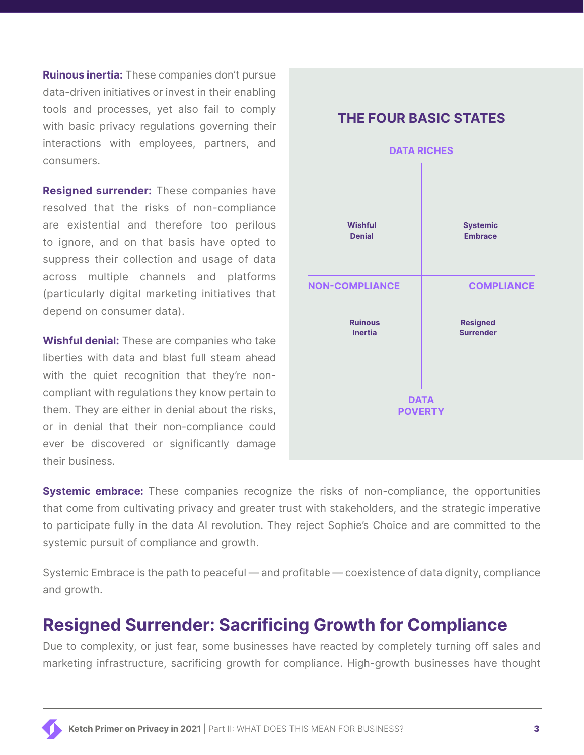**Ruinous inertia:** These companies don't pursue data-driven initiatives or invest in their enabling tools and processes, yet also fail to comply with basic privacy regulations governing their interactions with employees, partners, and consumers.

**Resigned surrender:** These companies have resolved that the risks of non-compliance are existential and therefore too perilous to ignore, and on that basis have opted to suppress their collection and usage of data across multiple channels and platforms (particularly digital marketing initiatives that depend on consumer data).

**Wishful denial:** These are companies who take liberties with data and blast full steam ahead with the quiet recognition that they're noncompliant with regulations they know pertain to them. They are either in denial about the risks, or in denial that their non-compliance could ever be discovered or significantly damage their business.



### **Systemic embrace:** These companies recognize the risks of non-compliance, the opportunities that come from cultivating privacy and greater trust with stakeholders, and the strategic imperative to participate fully in the data AI revolution. They reject Sophie's Choice and are committed to the systemic pursuit of compliance and growth.

Systemic Embrace is the path to peaceful — and profitable — coexistence of data dignity, compliance and growth.

## **Resigned Surrender: Sacrificing Growth for Compliance**

Due to complexity, or just fear, some businesses have reacted by completely turning off sales and marketing infrastructure, sacrificing growth for compliance. High-growth businesses have thought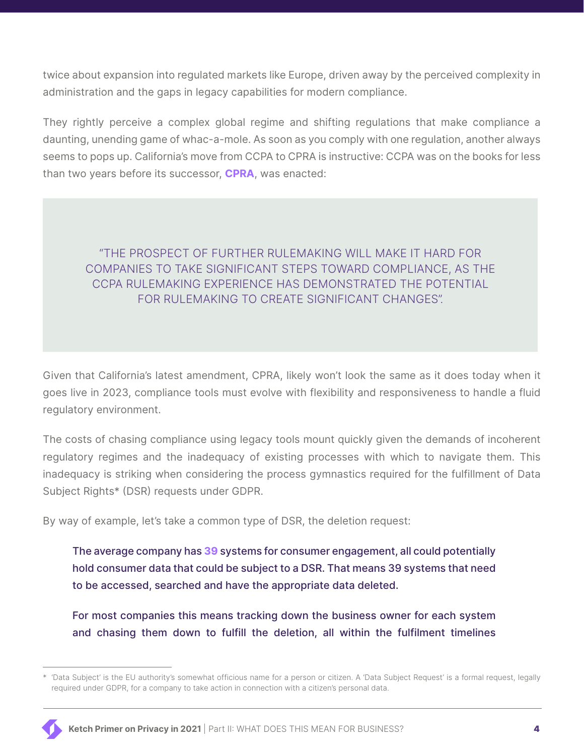twice about expansion into regulated markets like Europe, driven away by the perceived complexity in administration and the gaps in legacy capabilities for modern compliance.

They rightly perceive a complex global regime and shifting regulations that make compliance a daunting, unending game of whac-a-mole. As soon as you comply with one regulation, another always seems to pops up. California's move from CCPA to CPRA is instructive: CCPA was on the books for less than two years before its successor, **[CPRA](https://www.loeb.com/en/insights/publications/2020/11/california-privacy-rights-new-amendments-new-regulations-no-signs-of-slowing-down)**, was enacted:

### "THE PROSPECT OF FURTHER RULEMAKING WILL MAKE IT HARD FOR COMPANIES TO TAKE SIGNIFICANT STEPS TOWARD COMPLIANCE, AS THE CCPA RULEMAKING EXPERIENCE HAS DEMONSTRATED THE POTENTIAL FOR RULEMAKING TO CREATE SIGNIFICANT CHANGES".

Given that California's latest amendment, CPRA, likely won't look the same as it does today when it goes live in 2023, compliance tools must evolve with flexibility and responsiveness to handle a fluid regulatory environment.

The costs of chasing compliance using legacy tools mount quickly given the demands of incoherent regulatory regimes and the inadequacy of existing processes with which to navigate them. This inadequacy is striking when considering the process gymnastics required for the fulfillment of Data Subject Rights\* (DSR) requests under GDPR.

By way of example, let's take a common type of DSR, the deletion request:

The average company has **[39](https://deloitte.wsj.com/cmo/2018/03/20/retail-renaissance-redefining-the-consumer-experience/)** systems for consumer engagement, all could potentially hold consumer data that could be subject to a DSR. That means 39 systems that need to be accessed, searched and have the appropriate data deleted.

For most companies this means tracking down the business owner for each system and chasing them down to fulfill the deletion, all within the fulfilment timelines

<sup>\*</sup> 'Data Subject' is the EU authority's somewhat officious name for a person or citizen. A 'Data Subject Request' is a formal request, legally required under GDPR, for a company to take action in connection with a citizen's personal data.

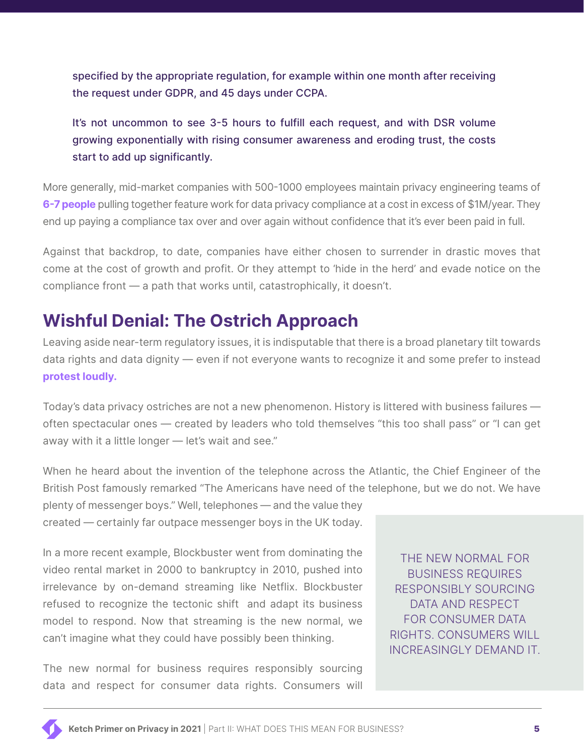specified by the appropriate regulation, for example within one month after receiving the request under GDPR, and 45 days under CCPA.

It's not uncommon to see 3-5 hours to fulfill each request, and with DSR volume growing exponentially with rising consumer awareness and eroding trust, the costs start to add up significantly.

More generally, mid-market companies with 500-1000 employees maintain privacy engineering teams of **[6-7 people](https://iapp.org/news/a/the-disciplines-of-modern-data-privacy-engineering/)** pulling together feature work for data privacy compliance at a cost in excess of \$1M/year. They end up paying a compliance tax over and over again without confidence that it's ever been paid in full.

Against that backdrop, to date, companies have either chosen to surrender in drastic moves that come at the cost of growth and profit. Or they attempt to 'hide in the herd' and evade notice on the compliance front — a path that works until, catastrophically, it doesn't.

## **Wishful Denial: The Ostrich Approach**

Leaving aside near-term regulatory issues, it is indisputable that there is a broad planetary tilt towards data rights and data dignity — even if not everyone wants to recognize it and some prefer to instead **[protest loudly.](https://www.inc.com/jason-aten/mark-zuckerberg-is-worried-apples-privacy-changes-could-be-end-of-facebook.html)**

Today's data privacy ostriches are not a new phenomenon. History is littered with business failures often spectacular ones — created by leaders who told themselves "this too shall pass" or "I can get away with it a little longer — let's wait and see."

When he heard about the invention of the telephone across the Atlantic, the Chief Engineer of the British Post famously remarked "The Americans have need of the telephone, but we do not. We have

plenty of messenger boys." Well, telephones — and the value they created — certainly far outpace messenger boys in the UK today.

In a more recent example, Blockbuster went from dominating the video rental market in 2000 to bankruptcy in 2010, pushed into irrelevance by on-demand streaming like Netflix. Blockbuster refused to recognize the tectonic shift and adapt its business model to respond. Now that streaming is the new normal, we can't imagine what they could have possibly been thinking.

The new normal for business requires responsibly sourcing data and respect for consumer data rights. Consumers will

THE NEW NORMAL FOR BUSINESS REQUIRES RESPONSIBLY SOURCING DATA AND RESPECT FOR CONSUMER DATA RIGHTS. CONSUMERS WILL INCREASINGLY DEMAND IT.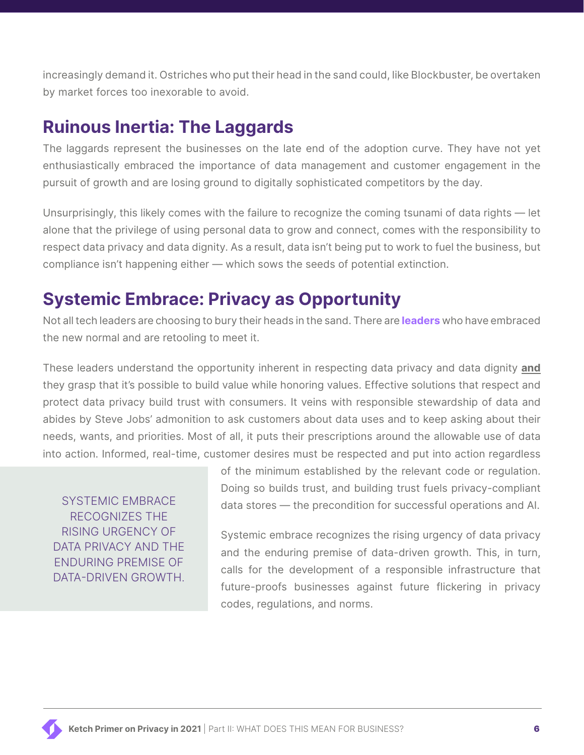increasingly demand it. Ostriches who put their head in the sand could, like Blockbuster, be overtaken by market forces too inexorable to avoid.

## **Ruinous Inertia: The Laggards**

The laggards represent the businesses on the late end of the adoption curve. They have not yet enthusiastically embraced the importance of data management and customer engagement in the pursuit of growth and are losing ground to digitally sophisticated competitors by the day.

Unsurprisingly, this likely comes with the failure to recognize the coming tsunami of data rights — let alone that the privilege of using personal data to grow and connect, comes with the responsibility to respect data privacy and data dignity. As a result, data isn't being put to work to fuel the business, but compliance isn't happening either — which sows the seeds of potential extinction.

## **Systemic Embrace: Privacy as Opportunity**

Not all tech leaders are choosing to bury their heads in the sand. There are **[leaders](https://finance.yahoo.com/news/microsoft-ceo-data-privacy-must-be-thought-of-as-a-human-right-world-economic-forum-2020-in-davos-110731615.html)** who have embraced the new normal and are retooling to meet it.

These leaders understand the opportunity inherent in respecting data privacy and data dignity **and** they grasp that it's possible to build value while honoring values. Effective solutions that respect and protect data privacy build trust with consumers. It veins with responsible stewardship of data and abides by Steve Jobs' admonition to ask customers about data uses and to keep asking about their needs, wants, and priorities. Most of all, it puts their prescriptions around the allowable use of data into action. Informed, real-time, customer desires must be respected and put into action regardless

SYSTEMIC EMBRACE RECOGNIZES THE RISING URGENCY OF DATA PRIVACY AND THE ENDURING PREMISE OF DATA-DRIVEN GROWTH. of the minimum established by the relevant code or regulation. Doing so builds trust, and building trust fuels privacy-compliant data stores — the precondition for successful operations and AI.

Systemic embrace recognizes the rising urgency of data privacy and the enduring premise of data-driven growth. This, in turn, calls for the development of a responsible infrastructure that future-proofs businesses against future flickering in privacy codes, regulations, and norms.